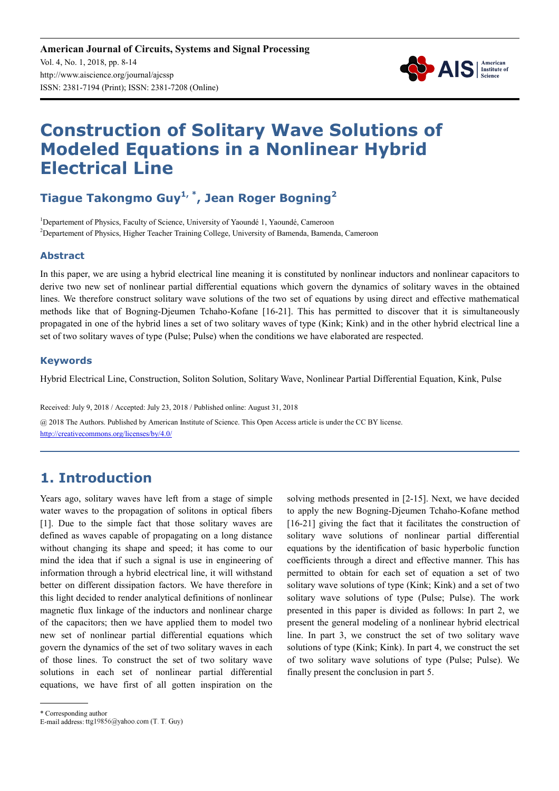

# **Construction of Solitary Wave Solutions of Modeled Equations in a Nonlinear Hybrid Electrical Line**

# **Tiague Takongmo Guy1, \*, Jean Roger Bogning<sup>2</sup>**

<sup>1</sup>Departement of Physics, Faculty of Science, University of Yaoundé 1, Yaoundé, Cameroon <sup>2</sup>Departement of Physics, Higher Teacher Training College, University of Bamenda, Bamenda, Cameroon

#### **Abstract**

In this paper, we are using a hybrid electrical line meaning it is constituted by nonlinear inductors and nonlinear capacitors to derive two new set of nonlinear partial differential equations which govern the dynamics of solitary waves in the obtained lines. We therefore construct solitary wave solutions of the two set of equations by using direct and effective mathematical methods like that of Bogning-Djeumen Tchaho-Kofane [16-21]. This has permitted to discover that it is simultaneously propagated in one of the hybrid lines a set of two solitary waves of type (Kink; Kink) and in the other hybrid electrical line a set of two solitary waves of type (Pulse; Pulse) when the conditions we have elaborated are respected.

#### **Keywords**

Hybrid Electrical Line, Construction, Soliton Solution, Solitary Wave, Nonlinear Partial Differential Equation, Kink, Pulse

Received: July 9, 2018 / Accepted: July 23, 2018 / Published online: August 31, 2018 @ 2018 The Authors. Published by American Institute of Science. This Open Access article is under the CC BY license. http://creativecommons.org/licenses/by/4.0/

# **1. Introduction**

Years ago, solitary waves have left from a stage of simple water waves to the propagation of solitons in optical fibers [1]. Due to the simple fact that those solitary waves are defined as waves capable of propagating on a long distance without changing its shape and speed; it has come to our mind the idea that if such a signal is use in engineering of information through a hybrid electrical line, it will withstand better on different dissipation factors. We have therefore in this light decided to render analytical definitions of nonlinear magnetic flux linkage of the inductors and nonlinear charge of the capacitors; then we have applied them to model two new set of nonlinear partial differential equations which govern the dynamics of the set of two solitary waves in each of those lines. To construct the set of two solitary wave solutions in each set of nonlinear partial differential equations, we have first of all gotten inspiration on the solving methods presented in [2-15]. Next, we have decided to apply the new Bogning-Djeumen Tchaho-Kofane method [16-21] giving the fact that it facilitates the construction of solitary wave solutions of nonlinear partial differential equations by the identification of basic hyperbolic function coefficients through a direct and effective manner. This has permitted to obtain for each set of equation a set of two solitary wave solutions of type (Kink; Kink) and a set of two solitary wave solutions of type (Pulse; Pulse). The work presented in this paper is divided as follows: In part 2, we present the general modeling of a nonlinear hybrid electrical line. In part 3, we construct the set of two solitary wave solutions of type (Kink; Kink). In part 4, we construct the set of two solitary wave solutions of type (Pulse; Pulse). We finally present the conclusion in part 5.

\* Corresponding author

E-mail address: ttg19856@yahoo.com (T. T. Guy)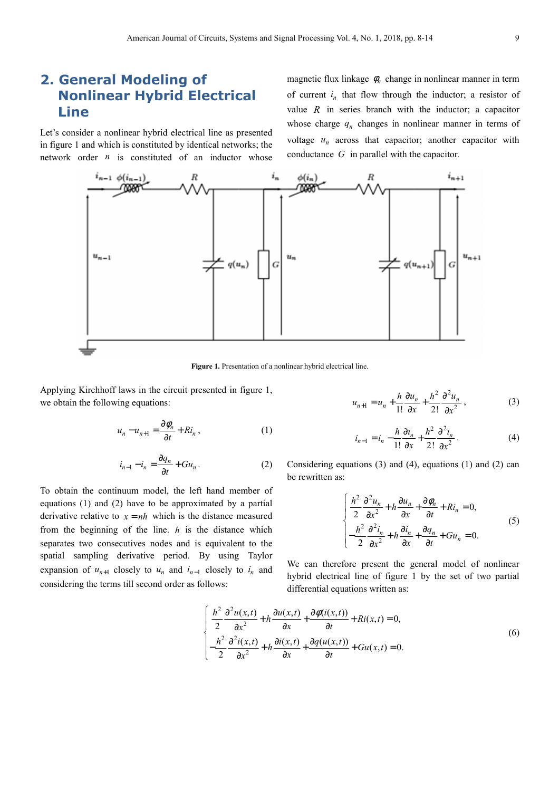## **2. General Modeling of Nonlinear Hybrid Electrical Line**

Let's consider a nonlinear hybrid electrical line as presented in figure 1 and which is constituted by identical networks; the network order *n* is constituted of an inductor whose

magnetic flux linkage  $\phi_n$  change in nonlinear manner in term of current  $i_n$  that flow through the inductor; a resistor of value  $R$  in series branch with the inductor; a capacitor whose charge  $q_n$  changes in nonlinear manner in terms of voltage  $u_n$  across that capacitor; another capacitor with conductance *G* in parallel with the capacitor.



Figure 1. Presentation of a nonlinear hybrid electrical line.

Applying Kirchhoff laws in the circuit presented in figure 1, we obtain the following equations:

$$
u_n - u_{n+1} = \frac{\partial \phi_n}{\partial t} + Ri_n ,
$$
 (1)

$$
i_{n-1} - i_n = \frac{\partial q_n}{\partial t} + Gu_n.
$$
 (2)

To obtain the continuum model, the left hand member of equations (1) and (2) have to be approximated by a partial derivative relative to  $x = nh$  which is the distance measured from the beginning of the line. *h* is the distance which separates two consecutives nodes and is equivalent to the spatial sampling derivative period. By using Taylor expansion of  $u_{n+1}$  closely to  $u_n$  and  $i_{n-1}$  closely to  $i_n$  and considering the terms till second order as follows:

$$
u_{n+1} = u_n + \frac{h}{1!} \frac{\partial u_n}{\partial x} + \frac{h^2}{2!} \frac{\partial^2 u_n}{\partial x^2},
$$
 (3)

$$
i_{n-1} = i_n - \frac{h}{1!} \frac{\partial i_n}{\partial x} + \frac{h^2}{2!} \frac{\partial^2 i_n}{\partial x^2} \,. \tag{4}
$$

Considering equations (3) and (4), equations (1) and (2) can be rewritten as:

$$
\begin{cases}\n\frac{h^2}{2} \frac{\partial^2 u_n}{\partial x^2} + h \frac{\partial u_n}{\partial x} + \frac{\partial \phi_n}{\partial t} + Ri_n = 0, \\
-\frac{h^2}{2} \frac{\partial^2 i_n}{\partial x^2} + h \frac{\partial i_n}{\partial x} + \frac{\partial q_n}{\partial t} + Gu_n = 0.\n\end{cases}
$$
\n(5)

We can therefore present the general model of nonlinear hybrid electrical line of figure 1 by the set of two partial differential equations written as:

$$
\begin{cases}\n\frac{h^2}{2} \frac{\partial^2 u(x,t)}{\partial x^2} + h \frac{\partial u(x,t)}{\partial x} + \frac{\partial \phi(i(x,t))}{\partial t} + Ri(x,t) = 0, \\
-\frac{h^2}{2} \frac{\partial^2 i(x,t)}{\partial x^2} + h \frac{\partial i(x,t)}{\partial x} + \frac{\partial q(u(x,t))}{\partial t} + Gu(x,t) = 0.\n\end{cases}
$$
\n(6)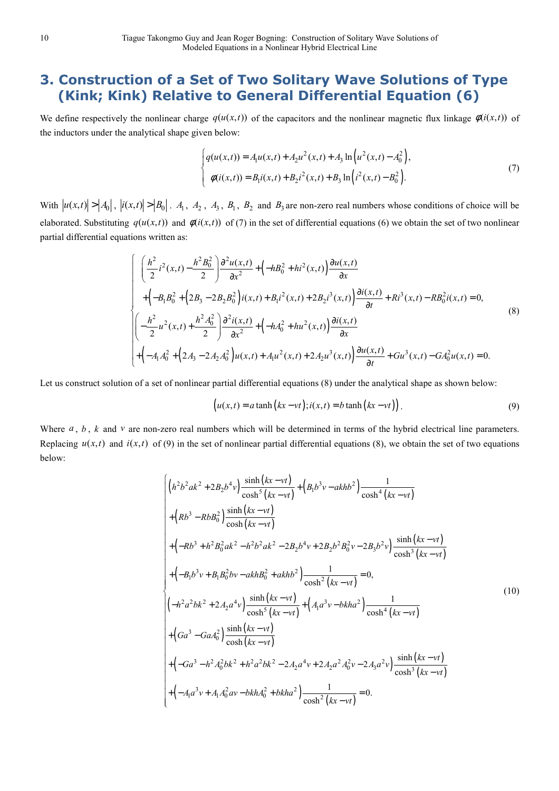# **3. Construction of a Set of Two Solitary Wave Solutions of Type (Kink; Kink) Relative to General Differential Equation (6)**

We define respectively the nonlinear charge  $q(u(x,t))$  of the capacitors and the nonlinear magnetic flux linkage  $\phi(i(x,t))$  of the inductors under the analytical shape given below:

$$
\begin{cases}\nq(u(x,t)) = A_1 u(x,t) + A_2 u^2(x,t) + A_3 \ln(u^2(x,t) - A_0^2), \\
\phi(i(x,t)) = B_1 i(x,t) + B_2 i^2(x,t) + B_3 \ln\left(i^2(x,t) - B_0^2\right).\n\end{cases} (7)
$$

With  $|u(x,t)| > |A_0|$ ,  $|i(x,t)| > |B_0|$ .  $A_1$ ,  $A_2$ ,  $A_3$ ,  $B_1$ ,  $B_2$  and  $B_3$  are non-zero real numbers whose conditions of choice will be elaborated. Substituting  $q(u(x,t))$  and  $\phi(i(x,t))$  of (7) in the set of differential equations (6) we obtain the set of two nonlinear partial differential equations written as:

$$
\begin{cases}\n\left(\frac{h^{2}}{2}i^{2}(x,t) - \frac{h^{2}B_{0}^{2}}{2}\right)\frac{\partial^{2}u(x,t)}{\partial x} + \left(-hB_{0}^{2} + hi^{2}(x,t)\right)\frac{\partial u(x,t)}{\partial x} \\
+ \left(-B_{1}B_{0}^{2} + \left(2B_{3} - 2B_{2}B_{0}^{2}\right)i(x,t) + B_{1}i^{2}(x,t) + 2B_{2}i^{3}(x,t)\right)\frac{\partial i(x,t)}{\partial t} + Ri^{3}(x,t) - RB_{0}^{2}i(x,t) = 0, \\
\left(-\frac{h^{2}}{2}u^{2}(x,t) + \frac{h^{2}A_{0}^{2}}{2}\right)\frac{\partial^{2}i(x,t)}{\partial x^{2}} + \left(-hA_{0}^{2} + hu^{2}(x,t)\right)\frac{\partial i(x,t)}{\partial x} \\
+ \left(-A_{1}A_{0}^{2} + \left(2A_{3} - 2A_{2}A_{0}^{2}\right)u(x,t) + A_{1}u^{2}(x,t) + 2A_{2}u^{3}(x,t)\right)\frac{\partial u(x,t)}{\partial t} + Gu^{3}(x,t) - GA_{0}^{2}u(x,t) = 0.\n\end{cases}
$$
\n(8)

Let us construct solution of a set of nonlinear partial differential equations (8) under the analytical shape as shown below:

$$
(u(x,t) = a \tanh (kx - vt); i(x,t) = b \tanh (kx - vt)).
$$
\n(9)

Where  $a, b, k$  and  $v$  are non-zero real numbers which will be determined in terms of the hybrid electrical line parameters. Replacing  $u(x,t)$  and  $i(x,t)$  of (9) in the set of nonlinear partial differential equations (8), we obtain the set of two equations below:

$$
\begin{cases}\n\left(h^{2}b^{2}ak^{2}+2B_{2}b^{4}v\right)\frac{\sinh(kx-vt)}{\cosh^{5}(kx-vt)}+\left(B_{1}b^{3}v-akhb^{2}\right)\frac{1}{\cosh^{4}(kx-vt)}\\
+\left(Rb^{3}-RbB_{0}^{2}\right)\frac{\sinh(kx-vt)}{\cosh(kx-vt)}\\
+\left(-Rb^{3}+h^{2}B_{0}^{2}ak^{2}-h^{2}b^{2}ak^{2}-2B_{2}b^{4}v+2B_{2}b^{2}B_{0}^{2}v-2B_{3}b^{2}v\right)\frac{\sinh(kx-vt)}{\cosh^{3}(kx-vt)}\\
+\left(-B_{1}b^{3}v+B_{1}B_{0}^{2}bv-akhB_{0}^{2}+akhb^{2}\right)\frac{1}{\cosh^{2}(kx-vt)}=0,\\
\left(-h^{2}a^{2}bk^{2}+2A_{2}a^{4}v\right)\frac{\sinh(kx-vt)}{\cosh^{5}(kx-vt)}+\left(A_{1}a^{3}v-bkha^{2}\right)\frac{1}{\cosh^{4}(kx-vt)}\\
+\left(Ga^{3}-GaA_{0}^{2}\right)\frac{\sinh(kx-vt)}{\cosh(kx-vt)}\\
+\left(Ga^{3}-GaA_{0}^{2}\right)\frac{\sinh(kx-vt)}{\cosh(kx-vt)}\\
+\left(-Ga^{3}-h^{2}A_{0}^{2}bk^{2}+h^{2}a^{2}bk^{2}-2A_{2}a^{4}v+2A_{2}a^{2}A_{0}^{2}v-2A_{3}a^{2}v\right)\frac{\sinh(kx-vt)}{\cosh^{3}(kx-vt)}\\
+\left(-A_{1}a^{3}v+A_{1}A_{0}^{2}av-bkhA_{0}^{2}+bkha^{2}\right)\frac{1}{\cosh^{2}(kx-vt)}=0.\n\end{cases}
$$
\n(10)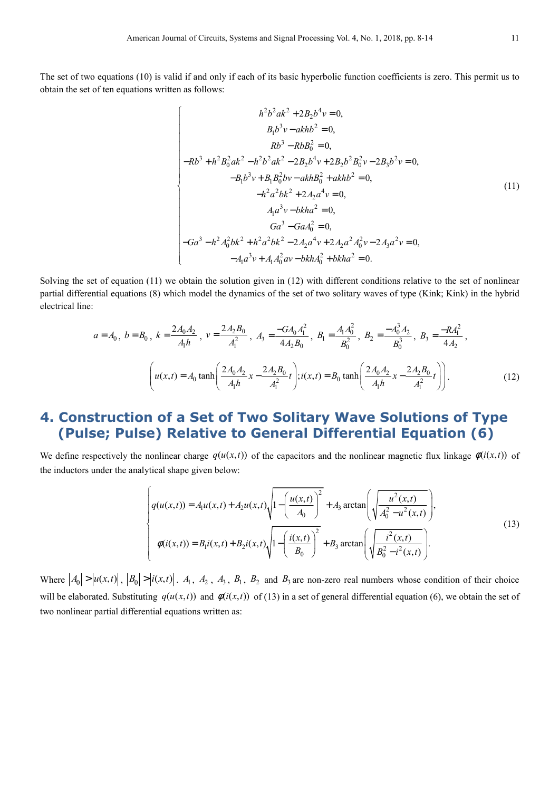The set of two equations (10) is valid if and only if each of its basic hyperbolic function coefficients is zero. This permit us to obtain the set of ten equations written as follows:

$$
h^{2}b^{2}ak^{2} + 2B_{2}b^{4}v = 0,
$$
  
\n
$$
B_{1}b^{3}v - akhb^{2} = 0,
$$
  
\n
$$
Rb^{3} - RbB_{0}^{2} = 0,
$$
  
\n
$$
-Rb^{3} + h^{2}B_{0}^{2}ak^{2} - h^{2}b^{2}ak^{2} - 2B_{2}b^{4}v + 2B_{2}b^{2}B_{0}^{2}v - 2B_{3}b^{2}v = 0,
$$
  
\n
$$
-B_{1}b^{3}v + B_{1}B_{0}^{2}bv - akhB_{0}^{2} + akhb^{2} = 0,
$$
  
\n
$$
-h^{2}a^{2}bk^{2} + 2A_{2}a^{4}v = 0,
$$
  
\n
$$
A_{1}a^{3}v - bkha^{2} = 0,
$$
  
\n
$$
Ga^{3} - GaA_{0}^{2} = 0,
$$
  
\n
$$
Ga^{3} - GaA_{0}^{2} = 0,
$$
  
\n
$$
-Ga^{3} - h^{2}A_{0}^{2}bk^{2} + h^{2}a^{2}bk^{2} - 2A_{2}a^{4}v + 2A_{2}a^{2}A_{0}^{2}v - 2A_{3}a^{2}v = 0,
$$
  
\n
$$
-A_{1}a^{3}v + A_{1}A_{0}^{2}av - bkhA_{0}^{2} + bkha^{2} = 0.
$$
  
\n(11)

Solving the set of equation (11) we obtain the solution given in (12) with different conditions relative to the set of nonlinear partial differential equations (8) which model the dynamics of the set of two solitary waves of type (Kink; Kink) in the hybrid electrical line:

$$
a = A_0, b = B_0, k = \frac{2A_0A_2}{A_1h}, v = \frac{2A_2B_0}{A_1^2}, A_3 = \frac{-GA_0A_1^2}{4A_2B_0}, B_1 = \frac{A_1A_0^2}{B_0^2}, B_2 = \frac{-A_0^3A_2}{B_0^3}, B_3 = \frac{-RA_1^2}{4A_2},
$$

$$
\left(u(x,t) = A_0 \tanh\left(\frac{2A_0A_2}{A_1h}x - \frac{2A_2B_0}{A_1^2}t\right); i(x,t) = B_0 \tanh\left(\frac{2A_0A_2}{A_1h}x - \frac{2A_2B_0}{A_1^2}t\right)\right).
$$
(12)

# **4. Construction of a Set of Two Solitary Wave Solutions of Type (Pulse; Pulse) Relative to General Differential Equation (6)**

We define respectively the nonlinear charge  $q(u(x,t))$  of the capacitors and the nonlinear magnetic flux linkage  $\phi(i(x,t))$  of the inductors under the analytical shape given below:

$$
\begin{cases}\n q(u(x,t)) = A_1 u(x,t) + A_2 u(x,t) \sqrt{1 - \left(\frac{u(x,t)}{A_0}\right)^2} + A_3 \arctan\left(\sqrt{\frac{u^2(x,t)}{A_0^2 - u^2(x,t)}}\right), \\
 \phi(i(x,t)) = B_1 i(x,t) + B_2 i(x,t) \sqrt{1 - \left(\frac{i(x,t)}{B_0}\right)^2} + B_3 \arctan\left(\sqrt{\frac{i^2(x,t)}{B_0^2 - i^2(x,t)}}\right).\n\end{cases}
$$
\n(13)

Where  $|A_0| > |u(x,t)|$ ,  $|B_0| > |i(x,t)|$ .  $A_1$ ,  $A_2$ ,  $A_3$ ,  $B_1$ ,  $B_2$  and  $B_3$  are non-zero real numbers whose condition of their choice will be elaborated. Substituting  $q(u(x,t))$  and  $\phi(i(x,t))$  of (13) in a set of general differential equation (6), we obtain the set of two nonlinear partial differential equations written as: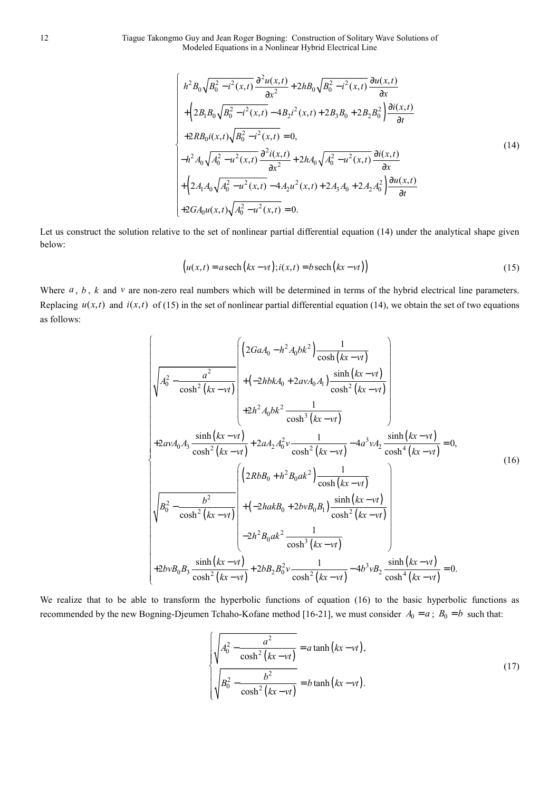12 Tiague Takongmo Guy and Jean Roger Bogning: Construction of Solitary Wave Solutions of Modeled Equations in a Nonlinear Hybrid Electrical Line

$$
\begin{cases}\nh^2 B_0 \sqrt{B_0^2 - i^2(x,t)} \frac{\partial^2 u(x,t)}{\partial x^2} + 2h B_0 \sqrt{B_0^2 - i^2(x,t)} \frac{\partial u(x,t)}{\partial x} \\
+ \left(2B_1 B_0 \sqrt{B_0^2 - i^2(x,t)} - 4B_2 i^2(x,t) + 2B_3 B_0 + 2B_2 B_0^2\right) \frac{\partial i(x,t)}{\partial t} \\
+ 2R B_0 i(x,t) \sqrt{B_0^2 - i^2(x,t)} = 0, \\
-h^2 A_0 \sqrt{A_0^2 - u^2(x,t)} \frac{\partial^2 i(x,t)}{\partial x^2} + 2h A_0 \sqrt{A_0^2 - u^2(x,t)} \frac{\partial i(x,t)}{\partial x} \\
+ \left(2A_1 A_0 \sqrt{A_0^2 - u^2(x,t)} - 4A_2 u^2(x,t) + 2A_3 A_0 + 2A_2 A_0^2\right) \frac{\partial u(x,t)}{\partial t} \\
+ 2G A_0 u(x,t) \sqrt{A_0^2 - u^2(x,t)} = 0.\n\end{cases}
$$
\n(14)

Let us construct the solution relative to the set of nonlinear partial differential equation (14) under the analytical shape given below:

$$
(u(x,t) = a \operatorname{sech}(kx - vt); i(x,t) = b \operatorname{sech}(kx - vt)
$$
\n(15)

Where *a*, *b*, *k* and *v* are non-zero real numbers which will be determined in terms of the hybrid electrical line parameters. Replacing  $u(x,t)$  and  $i(x,t)$  of (15) in the set of nonlinear partial differential equation (14), we obtain the set of two equations as follows:

$$
\sqrt{A_0^2 - \frac{a^2}{\cosh^2(kx - vt)}} \begin{pmatrix} \left(2GaA_0 - h^2A_0bk^2\right) \frac{1}{\cosh(kx - vt)} \\ + \left(-2hbkA_0 + 2avA_0A_1\right) \frac{\sinh(kx - vt)}{\cosh^2(kx - vt)} \\ + 2h^2A_0bk^2 \frac{1}{\cosh^3(kx - vt)} \end{pmatrix}
$$
  
+2avA<sub>0</sub>A<sub>3</sub>  $\frac{\sinh(kx - vt)}{\cosh^2(kx - vt)} + 2aA_2A_0^2v \frac{1}{\cosh^2(kx - vt)} - 4a^3vA_2 \frac{\sinh(kx - vt)}{\cosh(kx - vt)} = 0,+2avA_0A_3 \frac{\sinh(kx - vt)}{\cosh^2(kx - vt)} + 2aA_2A_0^2v \frac{1}{\cosh^2(kx - vt)} - 4a^3vA_2 \frac{\sinh(kx - vt)}{\cosh^2(kx - vt)} = 0,+2b^2\frac{b^2}{\cosh^2(kx - vt)} + (-2hakB_0 + 2bvB_0B_1) \frac{\sinh(kx - vt)}{\cosh^2(kx - vt)} - 4b^3vB_2 \frac{\sinh(kx - vt)}{\cosh^2(kx - vt)} = 0.+2bvB_0B_3 \frac{\sinh(kx - vt)}{\cosh^2(kx - vt)} + 2bB_2B_0^2v \frac{1}{\cosh^2(kx - vt)} - 4b^3vB_2 \frac{\sinh(kx - vt)}{\cosh^4(kx - vt)} = 0.$ 

We realize that to be able to transform the hyperbolic functions of equation (16) to the basic hyperbolic functions as recommended by the new Bogning-Djeumen Tchaho-Kofane method [16-21], we must consider  $A_0 = a$ ;  $B_0 = b$  such that:

$$
\sqrt{A_0^2 - \frac{a^2}{\cosh^2(kx - vt)}} = a \tanh(kx - vt),
$$
\n
$$
\sqrt{B_0^2 - \frac{b^2}{\cosh^2(kx - vt)}} = b \tanh(kx - vt).
$$
\n(17)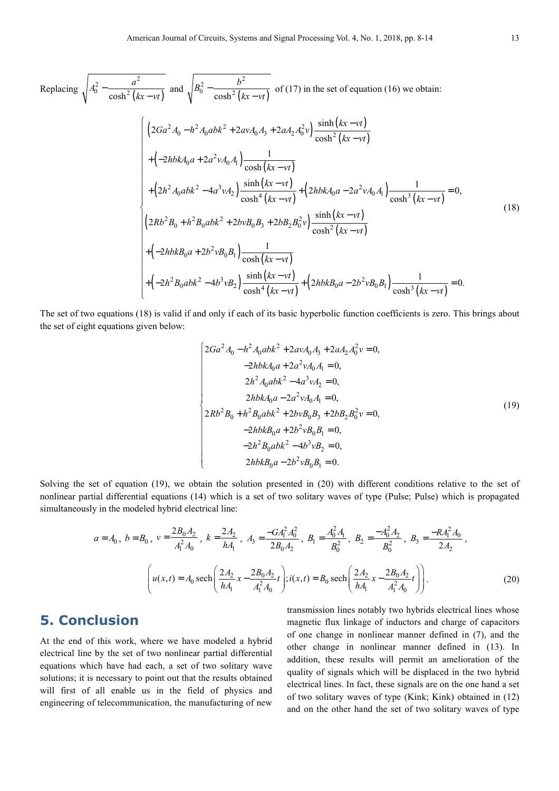Replacing 
$$
\sqrt{A_0^2 - \frac{a^2}{\cosh^2(kx - vt)}
$$
 and  $\sqrt{B_0^2 - \frac{b^2}{\cosh^2(kx - vt)}}$  of (17) in the set of equation (16) we obtain:  
\n
$$
\left\{\n\left(2Ga^2 A_0 - h^2 A_0 abk^2 + 2av A_0 A_3 + 2a A_2 A_0^2 v\right)\n\frac{\sinh(kx - vt)}{\cosh^2(kx - vt)} + \left(-2h b k A_0 a + 2a^2 v A_0 A_1\right)\n\frac{1}{\cosh^4(kx - vt)} + \left(2h b k A_0 a - 2a^2 v A_0 A_1\right)\n\frac{1}{\cosh^3(kx - vt)} = 0,
$$
\n
$$
\left(2Rb^2 B_0 + h^2 B_0 abk^2 + 2b v B_0 B_3 + 2b B_2 B_0^2 v\right)\n\frac{\sinh(kx - vt)}{\cosh^2(kx - vt)} + \left(-2h b k B_0 a + 2b^2 v B_0 B_1\right)\n\frac{\sinh(kx - vt)}{\cosh^2(kx - vt)} + \left(-2h b k B_0 a + 2b^2 v B_0 B_1\right)\n\frac{\sinh(kx - vt)}{\cosh^4(kx - vt)} + \left(2h b k B_0 a - 2b^2 v B_0 B_1\right)\n\frac{1}{\cosh^3(kx - vt)} = 0.
$$
\n(18)

The set of two equations (18) is valid if and only if each of its basic hyperbolic function coefficients is zero. This brings about the set of eight equations given below:

$$
\begin{cases}\n2Ga^2 A_0 - h^2 A_0 abk^2 + 2av A_0 A_3 + 2a A_2 A_0^2 v = 0, \\
-2h b k A_0 a + 2a^2 v A_0 A_1 = 0, \\
2h^2 A_0 abk^2 - 4a^3 v A_2 = 0, \\
2h b k A_0 a - 2a^2 v A_0 A_1 = 0, \\
2Rb^2 B_0 + h^2 B_0 abk^2 + 2b v B_0 B_3 + 2b B_2 B_0^2 v = 0, \\
-2h b k B_0 a + 2b^2 v B_0 B_1 = 0, \\
-2h^2 B_0 abk^2 - 4b^3 v B_2 = 0, \\
2h b k B_0 a - 2b^2 v B_0 B_1 = 0.\n\end{cases}
$$
\n(19)

Solving the set of equation (19), we obtain the solution presented in (20) with different conditions relative to the set of nonlinear partial differential equations (14) which is a set of two solitary waves of type (Pulse; Pulse) which is propagated simultaneously in the modeled hybrid electrical line:

$$
a = A_0, b = B_0, v = \frac{2B_0A_2}{A_1^2A_0}, k = \frac{2A_2}{hA_1}, A_3 = \frac{-G A_1^2 A_0^2}{2B_0A_2}, B_1 = \frac{A_0^2 A_1}{B_0^2}, B_2 = \frac{-A_0^2 A_2}{B_0^2}, B_3 = \frac{-R A_1^2 A_0}{2A_2},
$$

$$
\left(u(x, t) = A_0 \operatorname{sech}\left(\frac{2A_2}{hA_1}x - \frac{2B_0A_2}{A_1^2A_0}t\right); i(x, t) = B_0 \operatorname{sech}\left(\frac{2A_2}{hA_1}x - \frac{2B_0A_2}{A_1^2A_0}t\right)\right).
$$
(20)

#### **5. Conclusion**

At the end of this work, where we have modeled a hybrid electrical line by the set of two nonlinear partial differential equations which have had each, a set of two solitary wave solutions; it is necessary to point out that the results obtained will first of all enable us in the field of physics and engineering of telecommunication, the manufacturing of new transmission lines notably two hybrids electrical lines whose magnetic flux linkage of inductors and charge of capacitors of one change in nonlinear manner defined in (7), and the other change in nonlinear manner defined in (13). In addition, these results will permit an amelioration of the quality of signals which will be displaced in the two hybrid electrical lines. In fact, these signals are on the one hand a set of two solitary waves of type (Kink; Kink) obtained in (12) and on the other hand the set of two solitary waves of type